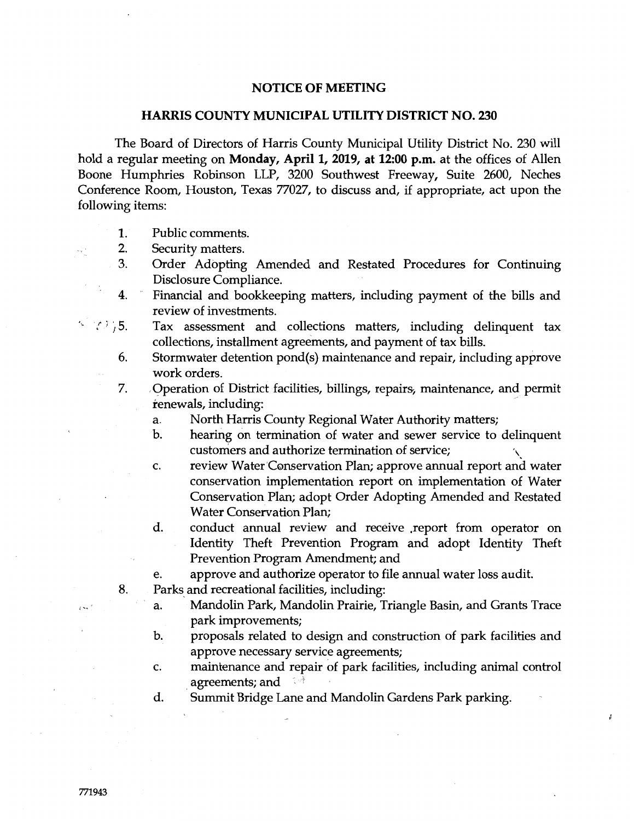## **NOTICE OF MEETING**

## **HARRIS COUNTY MUNICIPAL UTILITY DISTRICT NO. 230**

The Board of Directors of Harris County Municipal Utility District No. 230 will hold a regular meeting on **Monday, April 1, 2019, at 12:00 p.m.** at the offices of Allen Boone Humphries Robinson LLP, 3200 Southwest Freeway, Suite 2600, Neches Conference Room, Houston, Texas 77027, to discuss and, if appropriate, act upon the following items:

- 1. Public comments.
- 2. Security matters.
- 3. Order Adopting Amended and Restated Procedures for Continuing Disclosure Compliance.
- 4. Financial and bookkeeping matters, including payment of the bills and review of investments.
- $^{\circ}$   $^{\circ}$   $^{\circ}$   $^{\circ}$   $^{\circ}$   $^{\circ}$   $^{\circ}$   $^{\circ}$   $^{\circ}$   $^{\circ}$   $^{\circ}$   $^{\circ}$   $^{\circ}$   $^{\circ}$   $^{\circ}$   $^{\circ}$   $^{\circ}$   $^{\circ}$   $^{\circ}$   $^{\circ}$   $^{\circ}$   $^{\circ}$   $^{\circ}$   $^{\circ}$   $^{\circ}$   $^{\circ}$   $^{\circ}$   $^{\circ}$   $^{\circ}$   $^{\circ}$   $^{\circ}$   $^{\circ$ Tax assessment and collections matters, including delinquent tax collections, installment agreements, and payment of tax bills.
	- 6. Stormwater detention pond(s) maintenance and repair, including approve work orders.
	- 7. Operation of District facilities, billings, repairs, maintenance, and permit renewals, including: /
		- a. North Harris County Regional Water Authority matters;
		- b. hearing on termination of water and sewer service to delinquent customers and authorize termination of service; '\
		- c. review Water Conservation Plan; approve annual report and water conservation implementation report on implementation of Water Conservation Plan; adopt Order Adopting Amended and Restated Water Conservation Plan;
		- d. conduct annual review and receive .report from operator on Identity Theft Prevention Program and adopt Identity Theft Prevention Program Amendment; and
		- e. approve and authorize operator to file annual water loss audit.
	- 8. Parks and recreational facilities, including:
		- a. Mandolin Park, Mandolin Prairie, Triangle Basin, and Grants Trace park improvements;
		- b. proposals related to design and construction of park facilities and approve necessary service agreements;
		- c. maintenance and repair of park facilities, including animal control agreements; and

ž

d. Summit Bridge Lane and Mandolin Gardens Park parking.